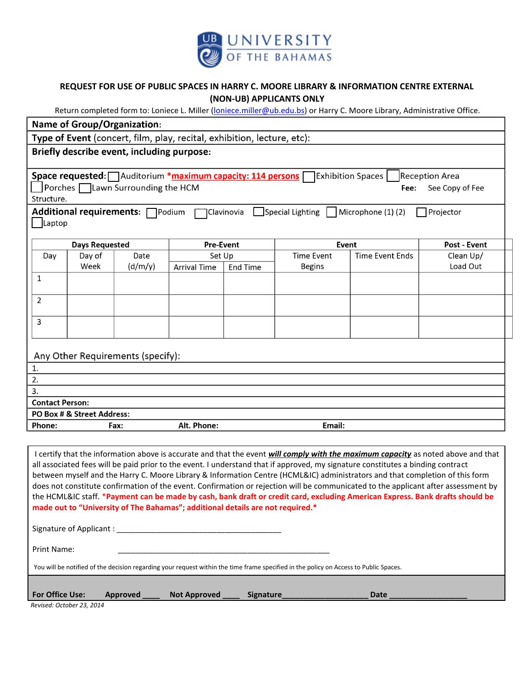

### **REQUEST FOR USE OF PUBLIC SPACES IN HARRY C. MOORE LIBRARY & INFORMATION CENTRE EXTERNAL (NON-UB) APPLICANTS ONLY**

Return completed form to: Loniece L. Miller (loniece.miller@ub.edu.bs) or Harry C. Moore Library, Administrative Office.

#### **Name of Group/Organization:** Type of Event (concert, film, play, recital, exhibition, lecture, etc): Briefly describe event, including purpose: Space requested: Auditorium \*maximum capacity: 114 persons Exhibition Spaces **Reception Area** Porches  $\Box$  Lawn Surrounding the HCM Fee: See Copy of Fee Structure. Additional requirements: Podium PClavinovia Special Lighting Microphone (1) (2) Projector Laptop **Days Requested** Event Post - Event **Pre-Event Time Event Time Event Ends** Day Day of Date Set Up Clean Up/ Week  $(d/m/y)$ **Arrival Time End Time Begins** Load Out  $\mathbf{1}$  $\overline{2}$  $\overline{3}$ Any Other Requirements (specify):  $1.$  $2.$ 3. **Contact Person:** PO Box # & Street Address: Phone: Alt. Phone: Email: Fax:

I certify that the information above is accurate and that the event *will comply with the maximum capacity* as noted above and that all associated fees will be paid prior to the event. I understand that if approved, my signature constitutes a binding contract between myself and the Harry C. Moore Library & Information Centre (HCML&IC) administrators and that completion of this form does not constitute confirmation of the event. Confirmation or rejection will be communicated to the applicant after assessment by the HCML&IC staff. \***Payment can be made by cash, bank draft or credit card, excluding American Express. Bank drafts should be made out to "University of The Bahamas"; additional details are not required.\***

Signature of Applicant :

Print Name:

You will be notified of the decision regarding your request within the time frame specified in the policy on Access to Public Spaces.

| <b>For Office Use:</b><br>Ap |  |
|------------------------------|--|
|------------------------------|--|

proved \_\_\_\_\_\_ Not Approved \_\_\_\_\_ Signature\_\_\_\_\_\_\_\_\_\_\_\_\_\_\_\_\_\_\_\_\_\_\_\_\_\_\_Date

*Revised: October 23, 2014*